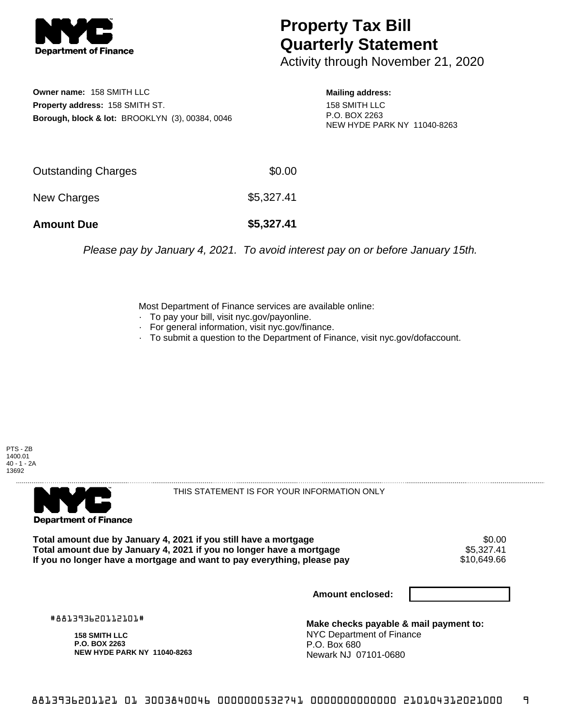

## **Property Tax Bill Quarterly Statement**

Activity through November 21, 2020

**Owner name:** 158 SMITH LLC **Property address:** 158 SMITH ST. **Borough, block & lot:** BROOKLYN (3), 00384, 0046

**Mailing address:** 158 SMITH LLC P.O. BOX 2263 NEW HYDE PARK NY 11040-8263

| <b>Amount Due</b>   | \$5,327.41 |
|---------------------|------------|
| New Charges         | \$5,327.41 |
| Outstanding Charges | \$0.00     |

Please pay by January 4, 2021. To avoid interest pay on or before January 15th.

Most Department of Finance services are available online:

- · To pay your bill, visit nyc.gov/payonline.
- For general information, visit nyc.gov/finance.
- · To submit a question to the Department of Finance, visit nyc.gov/dofaccount.

PTS - ZB 1400.01 40 - 1 - 2A 13692



THIS STATEMENT IS FOR YOUR INFORMATION ONLY

Total amount due by January 4, 2021 if you still have a mortgage \$0.00<br>Total amount due by January 4, 2021 if you no longer have a mortgage \$5.327.41 **Total amount due by January 4, 2021 if you no longer have a mortgage** \$5,327.41 If you no longer have a mortgage and want to pay everything, please pay

**Amount enclosed:**

#881393620112101#

**158 SMITH LLC P.O. BOX 2263 NEW HYDE PARK NY 11040-8263**

**Make checks payable & mail payment to:** NYC Department of Finance P.O. Box 680 Newark NJ 07101-0680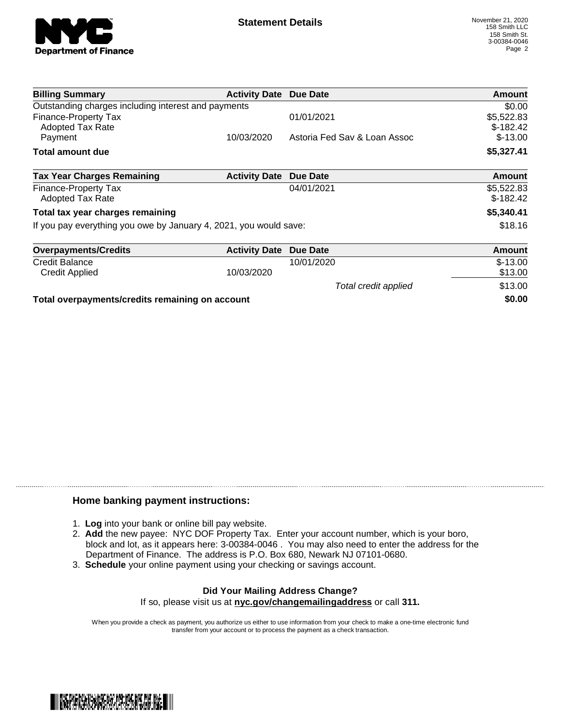

| <b>Billing Summary</b>                                            | <b>Activity Date Due Date</b> |                              | Amount                   |
|-------------------------------------------------------------------|-------------------------------|------------------------------|--------------------------|
| Outstanding charges including interest and payments               |                               |                              | \$0.00                   |
| <b>Finance-Property Tax</b><br>Adopted Tax Rate                   |                               | 01/01/2021                   | \$5,522.83<br>$$-182.42$ |
| Payment                                                           | 10/03/2020                    | Astoria Fed Sav & Loan Assoc | $$-13.00$                |
| <b>Total amount due</b>                                           |                               |                              | \$5,327.41               |
| <b>Tax Year Charges Remaining</b>                                 | <b>Activity Date</b>          | Due Date                     | <b>Amount</b>            |
| Finance-Property Tax<br>Adopted Tax Rate                          |                               | 04/01/2021                   | \$5,522.83<br>$$-182.42$ |
| Total tax year charges remaining                                  |                               |                              | \$5,340.41               |
| If you pay everything you owe by January 4, 2021, you would save: |                               |                              | \$18.16                  |
| <b>Overpayments/Credits</b>                                       | <b>Activity Date</b>          | Due Date                     | Amount                   |
| Credit Balance                                                    |                               | 10/01/2020                   | $$-13.00$                |
| <b>Credit Applied</b>                                             | 10/03/2020                    |                              | \$13.00                  |
|                                                                   |                               | Total credit applied         | \$13.00                  |
|                                                                   |                               |                              |                          |

**Total overpayments/credits remaining on account \$0.00**

## **Home banking payment instructions:**

- 1. **Log** into your bank or online bill pay website.
- 2. **Add** the new payee: NYC DOF Property Tax. Enter your account number, which is your boro, block and lot, as it appears here: 3-00384-0046 . You may also need to enter the address for the Department of Finance. The address is P.O. Box 680, Newark NJ 07101-0680.
- 3. **Schedule** your online payment using your checking or savings account.

## **Did Your Mailing Address Change?** If so, please visit us at **nyc.gov/changemailingaddress** or call **311.**

When you provide a check as payment, you authorize us either to use information from your check to make a one-time electronic fund

transfer from your account or to process the payment as a check transaction.